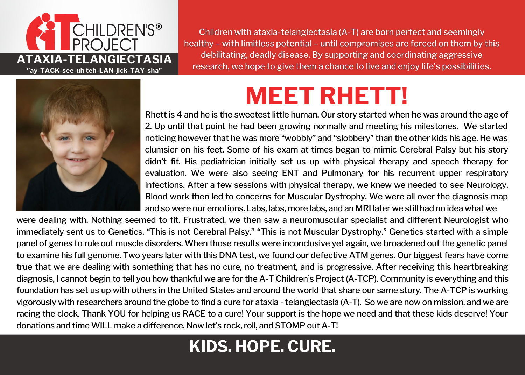

Children with ataxia-telangiectasia (A-T) are born perfect and seemingly healthy - with limitless potential - until compromises are forced on them by this debilitating, deadly disease. By supporting and coordinating aggressive research, we hope to give them a chance to live and enjoy life's possibilities.



## **MEET RHETT!**

Rhett is 4 and he is the sweetest little human. Our story started when he was around the age of 2. Up until that point he had been growing normally and meeting his milestones. We started noticing however that he was more "wobbly" and "slobbery" than the other kids his age. He was clumsier on his feet. Some of his exam at times began to mimic Cerebral Palsy but his story didn't fit. His pediatrician initially set us up with physical therapy and speech therapy for evaluation. We were also seeing ENT and Pulmonary for his recurrent upper respiratory infections. After a few sessions with physical therapy, we knew we needed to see Neurology. Blood work then led to concerns for Muscular Dystrophy. We were all over the diagnosis map and so were our emotions. Labs, labs, more labs, and an MRI later we still had no idea what we

were dealing with. Nothing seemed to fit. Frustrated, we then saw a neuromuscular specialist and different Neurologist who immediately sent us to Genetics. "This is not Cerebral Palsy." "This is not Muscular Dystrophy." Genetics started with a simple panel of genes to rule out muscle disorders. When those results were inconclusive yet again, we broadened out the genetic panel to examine his full genome. Two years later with this DNA test, we found our defective ATM genes. Our biggest fears have come true that we are dealing with something that has no cure, no treatment, and is progressive. After receiving this heartbreaking diagnosis, I cannot begin to tell you how thankful we are for the A-T Children's Project (A-TCP). Community is everything and this foundation has set us up with others in the United States and around the world that share our same story. The A-TCP is working vigorously with researchers around the globe to find a cure for ataxia - telangiectasia (A-T). So we are now on mission, and we are racing the clock. Thank YOU for helping us RACE to a cure! Your support is the hope we need and that these kids deserve! Your donations and time WILL make a difference. Now let's rock, roll, and STOMP out A-T!

### **KIDS. HOPE. CURE.**